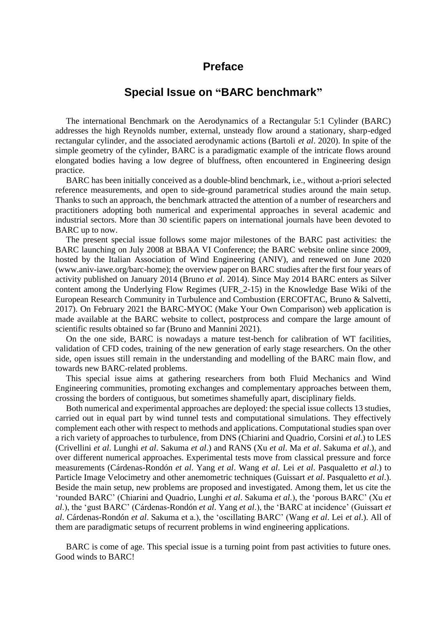## **Preface**

## **Special Issue on "BARC benchmark"**

The international Benchmark on the Aerodynamics of a Rectangular 5:1 Cylinder (BARC) addresses the high Reynolds number, external, unsteady flow around a stationary, sharp-edged rectangular cylinder, and the associated aerodynamic actions (Bartoli *et al*. 2020). In spite of the simple geometry of the cylinder, BARC is a paradigmatic example of the intricate flows around elongated bodies having a low degree of bluffness, often encountered in Engineering design practice.

BARC has been initially conceived as a double-blind benchmark, i.e., without a-priori selected reference measurements, and open to side-ground parametrical studies around the main setup. Thanks to such an approach, the benchmark attracted the attention of a number of researchers and practitioners adopting both numerical and experimental approaches in several academic and industrial sectors. More than 30 scientific papers on international journals have been devoted to BARC up to now.

The present special issue follows some major milestones of the BARC past activities: the BARC launching on July 2008 at BBAA VI Conference; the BARC website online since 2009, hosted by the Italian Association of Wind Engineering (ANIV), and renewed on June 2020 (www.aniv-iawe.org/barc-home); the overview paper on BARC studies after the first four years of activity published on January 2014 (Bruno *et al*. 2014). Since May 2014 BARC enters as Silver content among the Underlying Flow Regimes (UFR\_2-15) in the Knowledge Base Wiki of the European Research Community in Turbulence and Combustion (ERCOFTAC, Bruno & Salvetti, 2017). On February 2021 the BARC-MYOC (Make Your Own Comparison) web application is made available at the BARC website to collect, postprocess and compare the large amount of scientific results obtained so far (Bruno and Mannini 2021).

On the one side, BARC is nowadays a mature test-bench for calibration of WT facilities, validation of CFD codes, training of the new generation of early stage researchers. On the other side, open issues still remain in the understanding and modelling of the BARC main flow, and towards new BARC-related problems.

This special issue aims at gathering researchers from both Fluid Mechanics and Wind Engineering communities, promoting exchanges and complementary approaches between them, crossing the borders of contiguous, but sometimes shamefully apart, disciplinary fields.

Both numerical and experimental approaches are deployed: the special issue collects 13 studies, carried out in equal part by wind tunnel tests and computational simulations. They effectively complement each other with respect to methods and applications. Computational studies span over a rich variety of approaches to turbulence, from DNS (Chiarini and Quadrio, Corsini *et al*.) to LES (Crivellini *et al*. Lunghi *et al*. Sakuma *et al*.) and RANS (Xu *et al*. Ma *et al*. Sakuma *et al*.), and over different numerical approaches. Experimental tests move from classical pressure and force measurements (Cárdenas-Rondón *et al*. Yang *et al*. Wang *et al*. Lei *et al*. Pasqualetto *et al*.) to Particle Image Velocimetry and other anemometric techniques (Guissart *et al*. Pasqualetto *et al*.). Beside the main setup, new problems are proposed and investigated. Among them, let us cite the 'rounded BARC' (Chiarini and Quadrio, Lunghi *et al*. Sakuma *et al*.), the 'porous BARC' (Xu *et al*.), the 'gust BARC' (Cárdenas-Rondón *et al*. Yang *et al*.), the 'BARC at incidence' (Guissart *et al*. Cárdenas-Rondón *et al*. Sakuma et a.), the 'oscillating BARC' (Wang *et al*. Lei *et al*.). All of them are paradigmatic setups of recurrent problems in wind engineering applications.

BARC is come of age. This special issue is a turning point from past activities to future ones. Good winds to BARC!